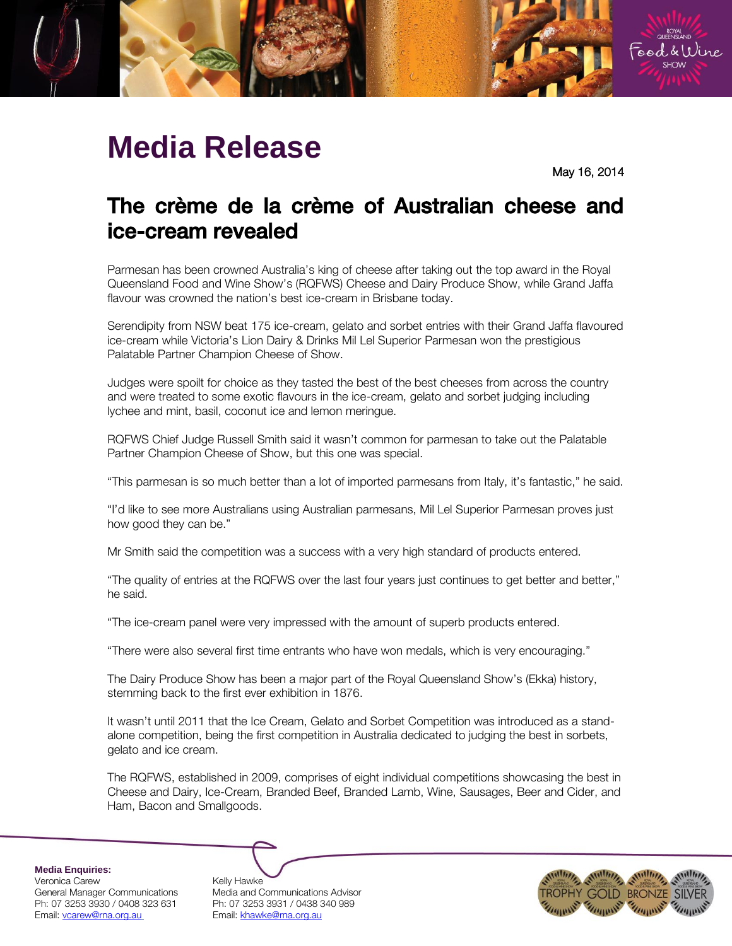

## **Media Release**

May 16, 2014

## The crème de la crème of Australian cheese and ice-cream revealed ice-cream revealed

Parmesan has been crowned Australia's king of cheese after taking out the top award in the Royal Queensland Food and Wine Show's (RQFWS) Cheese and Dairy Produce Show, while Grand Jaffa flavour was crowned the nation's best ice-cream in Brisbane today.

Serendipity from NSW beat 175 ice-cream, gelato and sorbet entries with their Grand Jaffa flavoured ice-cream while Victoria's Lion Dairy & Drinks Mil Lel Superior Parmesan won the prestigious Palatable Partner Champion Cheese of Show.

Judges were spoilt for choice as they tasted the best of the best cheeses from across the country and were treated to some exotic flavours in the ice-cream, gelato and sorbet judging including lychee and mint, basil, coconut ice and lemon meringue.

RQFWS Chief Judge Russell Smith said it wasn't common for parmesan to take out the Palatable Partner Champion Cheese of Show, but this one was special.

"This parmesan is so much better than a lot of imported parmesans from Italy, it's fantastic," he said.

"I'd like to see more Australians using Australian parmesans, Mil Lel Superior Parmesan proves just how good they can be."

Mr Smith said the competition was a success with a very high standard of products entered.

"The quality of entries at the RQFWS over the last four years just continues to get better and better," he said.

"The ice-cream panel were very impressed with the amount of superb products entered.

"There were also several first time entrants who have won medals, which is very encouraging."

The Dairy Produce Show has been a major part of the Royal Queensland Show's (Ekka) history, stemming back to the first ever exhibition in 1876.

It wasn't until 2011 that the Ice Cream, Gelato and Sorbet Competition was introduced as a standalone competition, being the first competition in Australia dedicated to judging the best in sorbets, gelato and ice cream.

The RQFWS, established in 2009, comprises of eight individual competitions showcasing the best in Cheese and Dairy, Ice-Cream, Branded Beef, Branded Lamb, Wine, Sausages, Beer and Cider, and Ham, Bacon and Smallgoods.

**Media Enquiries:**

Veronica Carew <br>General Manager Communications Media and C Ph: 07 3253 3930 / 0408 323 631 Ph: 07 3253 3931 / 0438 340 989 Email: vcarew@rna.org.au Email: khawke@rna.org.au

Media and Communications Advisor